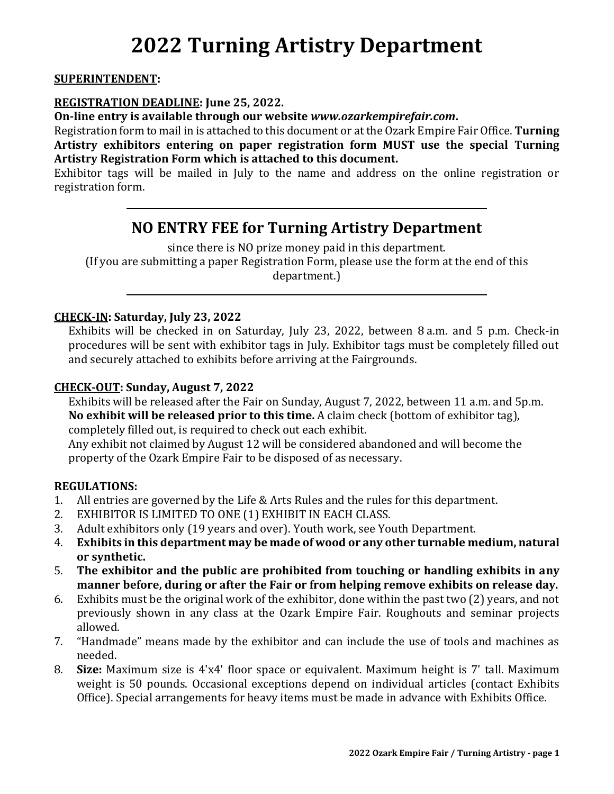# **2022 Turning Artistry Department**

#### **SUPERINTENDENT:**

#### **REGISTRATION DEADLINE: June 25, 2022.**

**On-line entry is available through our website** *www.ozarkempirefair.com***.**

Registration form to mail in is attached to this document or at the Ozark Empire Fair Office. **Turning Artistry exhibitors entering on paper registration form MUST use the special Turning Artistry Registration Form which is attached to this document.**

Exhibitor tags will be mailed in July to the name and address on the online registration or registration form.

# **NO ENTRY FEE for Turning Artistry Department**

since there is NO prize money paid in this department. (If you are submitting a paper Registration Form, please use the form at the end of this department.)

#### **CHECK-IN: Saturday, July 23, 2022**

Exhibits will be checked in on Saturday, July 23, 2022, between 8 a.m. and 5 p.m. Check-in procedures will be sent with exhibitor tags in July. Exhibitor tags must be completely filled out and securely attached to exhibits before arriving at the Fairgrounds.

#### **CHECK-OUT: Sunday, August 7, 2022**

Exhibits will be released after the Fair on Sunday, August 7, 2022, between 11 a.m. and 5p.m. **No exhibit will be released prior to this time.** A claim check (bottom of exhibitor tag), completely filled out, is required to check out each exhibit. Any exhibit not claimed by August 12 will be considered abandoned and will become the property of the Ozark Empire Fair to be disposed of as necessary.

#### **REGULATIONS:**

- 1. All entries are governed by the Life & Arts Rules and the rules for this department.
- 2. EXHIBITOR IS LIMITED TO ONE (1) EXHIBIT IN EACH CLASS.
- 3. Adult exhibitors only (19 years and over). Youth work, see Youth Department.
- 4. **Exhibits in this department may be made of wood or any other turnable medium, natural or synthetic.**
- 5. **The exhibitor and the public are prohibited from touching or handling exhibits in any manner before, during or after the Fair or from helping remove exhibits on release day.**
- 6. Exhibits must be the original work of the exhibitor, done within the past two (2) years, and not previously shown in any class at the Ozark Empire Fair. Roughouts and seminar projects allowed.
- 7. "Handmade" means made by the exhibitor and can include the use of tools and machines as needed.
- 8. **Size:** Maximum size is 4'x4' floor space or equivalent. Maximum height is 7' tall. Maximum weight is 50 pounds. Occasional exceptions depend on individual articles (contact Exhibits Office). Special arrangements for heavy items must be made in advance with Exhibits Office.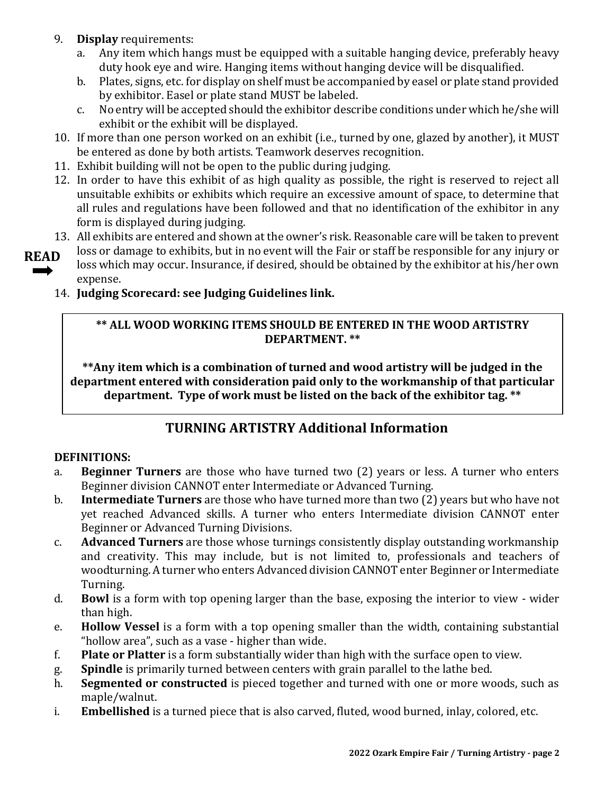- 9. **Display** requirements:
	- a. Any item which hangs must be equipped with a suitable hanging device, preferably heavy duty hook eye and wire. Hanging items without hanging device will be disqualified.
	- b. Plates, signs, etc. for display on shelf must be accompanied by easel or plate stand provided by exhibitor. Easel or plate stand MUST be labeled.
	- c. No entry will be accepted should the exhibitor describe conditions under which he/she will exhibit or the exhibit will be displayed.
- 10. If more than one person worked on an exhibit (i.e., turned by one, glazed by another), it MUST be entered as done by both artists. Teamwork deserves recognition.
- 11. Exhibit building will not be open to the public during judging.
- 12. In order to have this exhibit of as high quality as possible, the right is reserved to reject all unsuitable exhibits or exhibits which require an excessive amount of space, to determine that all rules and regulations have been followed and that no identification of the exhibitor in any form is displayed during judging.
- 13. All exhibits are entered and shown at the owner's risk. Reasonable care will be taken to prevent
- loss or damage to exhibits, but in no event will the Fair or staff be responsible for any injury or loss which may occur. Insurance, if desired, should be obtained by the exhibitor at his/her own expense. **READ** 
	- 14. **Judging Scorecard: see Judging Guidelines link.**

#### **\*\* ALL WOOD WORKING ITEMS SHOULD BE ENTERED IN THE WOOD ARTISTRY DEPARTMENT. \*\***

**\*\*Any item which is a combination of turned and wood artistry will be judged in the department entered with consideration paid only to the workmanship of that particular department. Type of work must be listed on the back of the exhibitor tag. \*\***

# **TURNING ARTISTRY Additional Information**

#### **DEFINITIONS:**

- a. **Beginner Turners** are those who have turned two (2) years or less. A turner who enters Beginner division CANNOT enter Intermediate or Advanced Turning.
- b. **Intermediate Turners** are those who have turned more than two (2) years but who have not yet reached Advanced skills. A turner who enters Intermediate division CANNOT enter Beginner or Advanced Turning Divisions.
- c. **Advanced Turners** are those whose turnings consistently display outstanding workmanship and creativity. This may include, but is not limited to, professionals and teachers of woodturning. A turner who enters Advanced division CANNOT enter Beginner or Intermediate Turning.
- d. **Bowl** is a form with top opening larger than the base, exposing the interior to view wider than high.
- e. **Hollow Vessel** is a form with a top opening smaller than the width, containing substantial "hollow area", such as a vase - higher than wide.
- f. **Plate or Platter** is a form substantially wider than high with the surface open to view.
- g. **Spindle** is primarily turned between centers with grain parallel to the lathe bed.
- h. **Segmented or constructed** is pieced together and turned with one or more woods, such as maple/walnut.
- i. **Embellished** is a turned piece that is also carved, fluted, wood burned, inlay, colored, etc.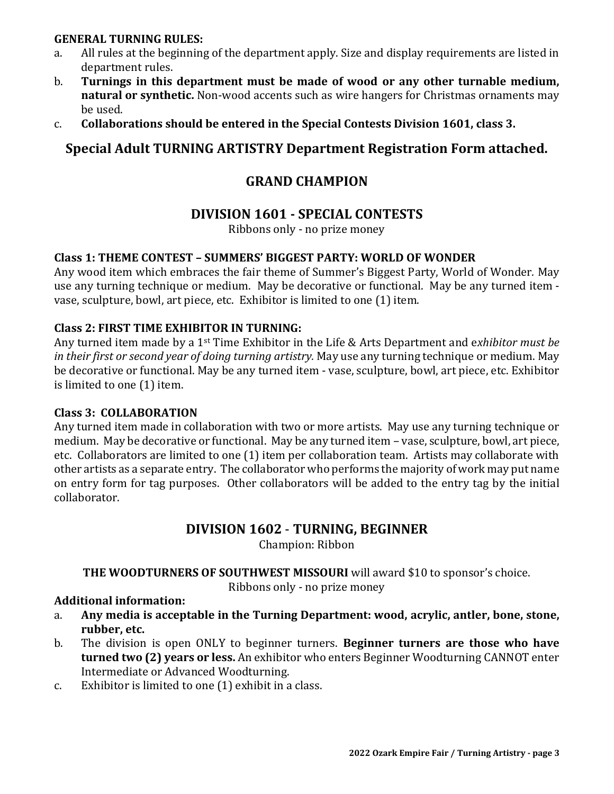#### **GENERAL TURNING RULES:**

- a. All rules at the beginning of the department apply. Size and display requirements are listed in department rules.
- b. **Turnings in this department must be made of wood or any other turnable medium, natural or synthetic.** Non-wood accents such as wire hangers for Christmas ornaments may be used.
- c. **Collaborations should be entered in the Special Contests Division 1601, class 3.**

# **Special Adult TURNING ARTISTRY Department Registration Form attached.**

# **GRAND CHAMPION**

## **DIVISION 1601 - SPECIAL CONTESTS**

Ribbons only - no prize money

#### **Class 1: THEME CONTEST – SUMMERS' BIGGEST PARTY: WORLD OF WONDER**

Any wood item which embraces the fair theme of Summer's Biggest Party, World of Wonder*.* May use any turning technique or medium. May be decorative or functional. May be any turned item vase, sculpture, bowl, art piece, etc. Exhibitor is limited to one (1) item.

#### **Class 2: FIRST TIME EXHIBITOR IN TURNING:**

Any turned item made by a 1st Time Exhibitor in the Life & Arts Department and e*xhibitor must be in their first or second year of doing turning artistry.* May use any turning technique or medium. May be decorative or functional. May be any turned item - vase, sculpture, bowl, art piece, etc. Exhibitor is limited to one (1) item.

#### **Class 3: COLLABORATION**

Any turned item made in collaboration with two or more artists. May use any turning technique or medium. May be decorative or functional. May be any turned item – vase, sculpture, bowl, art piece, etc. Collaborators are limited to one (1) item per collaboration team. Artists may collaborate with other artists as a separate entry. The collaborator who performs the majority of work may put name on entry form for tag purposes. Other collaborators will be added to the entry tag by the initial collaborator.

#### **DIVISION 1602** - **TURNING, BEGINNER**

Champion: Ribbon

**THE WOODTURNERS OF SOUTHWEST MISSOURI** will award \$10 to sponsor's choice.

Ribbons only - no prize money

#### **Additional information:**

- a. **Any media is acceptable in the Turning Department: wood, acrylic, antler, bone, stone, rubber, etc.**
- b. The division is open ONLY to beginner turners. **Beginner turners are those who have turned two (2) years or less.** An exhibitor who enters Beginner Woodturning CANNOT enter Intermediate or Advanced Woodturning.
- c. Exhibitor is limited to one (1) exhibit in a class.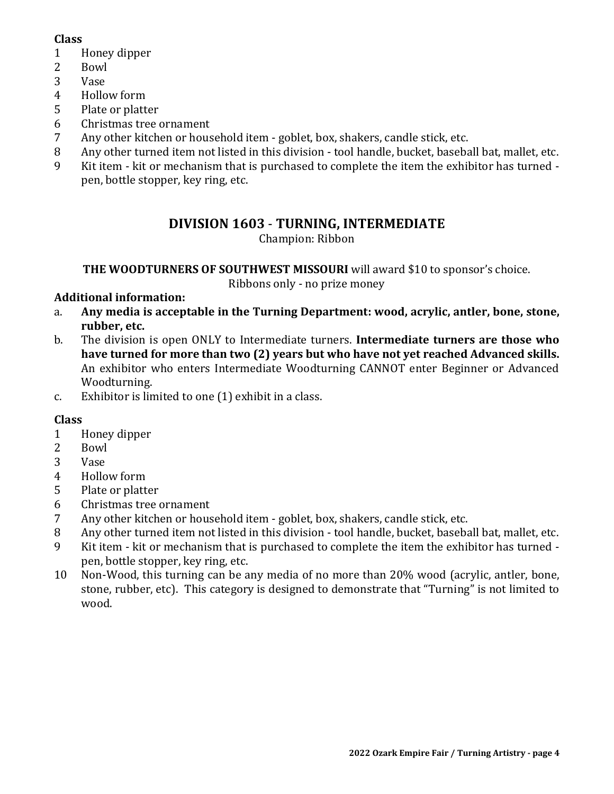#### **Class**

- 1 Honey dipper
- 2 Bowl
- 3 Vase
- 4 Hollow form
- 5 Plate or platter
- 6 Christmas tree ornament
- 7 Any other kitchen or household item goblet, box, shakers, candle stick, etc.
- 8 Any other turned item not listed in this division tool handle, bucket, baseball bat, mallet, etc.
- 9 Kit item kit or mechanism that is purchased to complete the item the exhibitor has turned pen, bottle stopper, key ring, etc.

## **DIVISION 1603** - **TURNING, INTERMEDIATE**

Champion: Ribbon

**THE WOODTURNERS OF SOUTHWEST MISSOURI** will award \$10 to sponsor's choice.

Ribbons only - no prize money

#### **Additional information:**

- a. **Any media is acceptable in the Turning Department: wood, acrylic, antler, bone, stone, rubber, etc.**
- b. The division is open ONLY to Intermediate turners. **Intermediate turners are those who have turned for more than two (2) years but who have not yet reached Advanced skills.** An exhibitor who enters Intermediate Woodturning CANNOT enter Beginner or Advanced Woodturning.
- c. Exhibitor is limited to one (1) exhibit in a class.

#### **Class**

- 1 Honey dipper
- 2 Bowl
- 3 Vase
- 4 Hollow form
- 5 Plate or platter
- 6 Christmas tree ornament
- 7 Any other kitchen or household item goblet, box, shakers, candle stick, etc.
- 8 Any other turned item not listed in this division tool handle, bucket, baseball bat, mallet, etc.
- 9 Kit item kit or mechanism that is purchased to complete the item the exhibitor has turned pen, bottle stopper, key ring, etc.
- 10 Non-Wood, this turning can be any media of no more than 20% wood (acrylic, antler, bone, stone, rubber, etc). This category is designed to demonstrate that "Turning" is not limited to wood.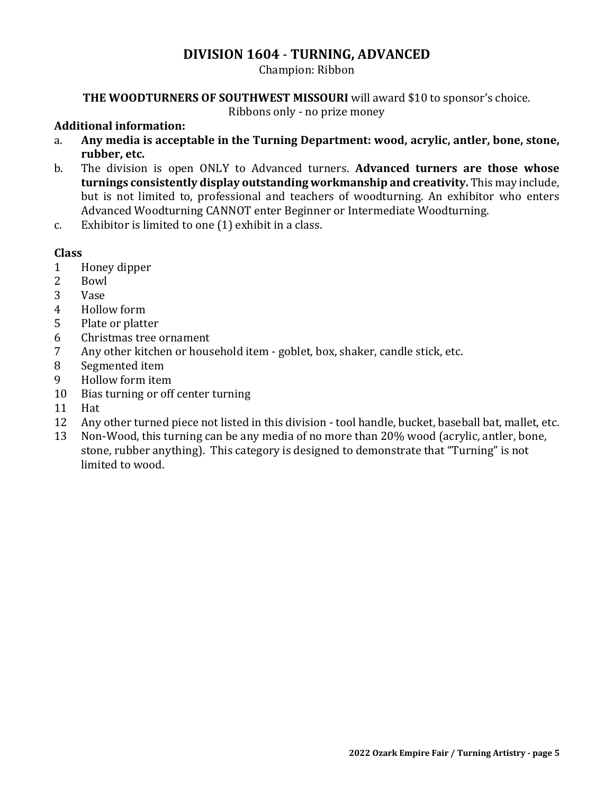#### **DIVISION 1604** - **TURNING, ADVANCED**

Champion: Ribbon

#### **THE WOODTURNERS OF SOUTHWEST MISSOURI** will award \$10 to sponsor's choice.

Ribbons only - no prize money

#### **Additional information:**

- a. **Any media is acceptable in the Turning Department: wood, acrylic, antler, bone, stone, rubber, etc.**
- b. The division is open ONLY to Advanced turners. **Advanced turners are those whose turnings consistently display outstanding workmanship and creativity.** This may include, but is not limited to, professional and teachers of woodturning. An exhibitor who enters Advanced Woodturning CANNOT enter Beginner or Intermediate Woodturning.
- c. Exhibitor is limited to one (1) exhibit in a class.

#### **Class**

- 1 Honey dipper
- 2 Bowl
- 3 Vase
- 4 Hollow form
- 5 Plate or platter
- 6 Christmas tree ornament
- 7 Any other kitchen or household item goblet, box, shaker, candle stick, etc.
- 8 Segmented item
- 9 Hollow form item
- 10 Bias turning or off center turning
- 11 Hat
- 12 Any other turned piece not listed in this division tool handle, bucket, baseball bat, mallet, etc.
- 13 Non-Wood, this turning can be any media of no more than 20% wood (acrylic, antler, bone, stone, rubber anything). This category is designed to demonstrate that "Turning" is not limited to wood.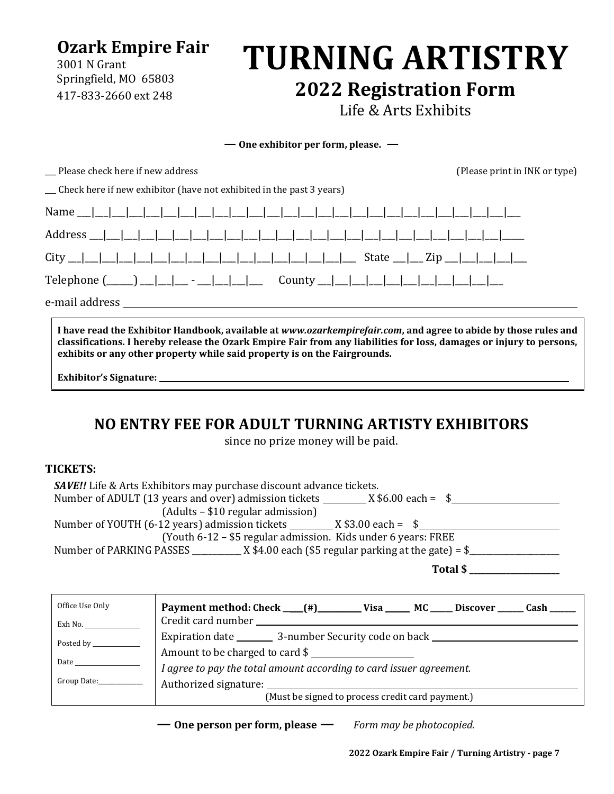**Ozark Empire Fair**

3001 N Grant Springfield, MO 65803 417-833-2660 ext 248

# **TURNING ARTISTRY 2022 Registration Form**

Life & Arts Exhibits

**— One exhibitor per form, please. —**

\_\_\_ Please check here if new address (Please print in INK or type)

\_\_\_ Check here if new exhibitor (have not exhibited in the past 3 years)

e-mail address

**I have read the Exhibitor Handbook, available at** *www.ozarkempirefair.com***, and agree to abide by those rules and classifications. I hereby release the Ozark Empire Fair from any liabilities for loss, damages or injury to persons, exhibits or any other property while said property is on the Fairgrounds.**

**Exhibitor's Signature:** 

# **NO ENTRY FEE FOR ADULT TURNING ARTISTY EXHIBITORS**

since no prize money will be paid.

#### **TICKETS:**

| <b>SAVE!!</b> Life & Arts Exhibitors may purchase discount advance tickets.     |
|---------------------------------------------------------------------------------|
|                                                                                 |
| (Adults – \$10 regular admission)                                               |
|                                                                                 |
| (Youth 6-12 – \$5 regular admission. Kids under 6 years: FREE                   |
| Number of PARKING PASSES $X$ \$4.00 each (\$5 regular parking at the gate) = \$ |
| Total \$                                                                        |

| Office Use Only                                                                                                                                                                                                                     | Payment method: Check __(#)__________ Visa _______ MC ______ Discover ______ Cash ______ |  |  |  |  |
|-------------------------------------------------------------------------------------------------------------------------------------------------------------------------------------------------------------------------------------|------------------------------------------------------------------------------------------|--|--|--|--|
| Exh No.                                                                                                                                                                                                                             |                                                                                          |  |  |  |  |
|                                                                                                                                                                                                                                     | Expiration date ___________ 3-number Security code on back _____________________         |  |  |  |  |
|                                                                                                                                                                                                                                     | Amount to be charged to card \$                                                          |  |  |  |  |
| <b>Date</b> and the set of the set of the set of the set of the set of the set of the set of the set of the set of the set of the set of the set of the set of the set of the set of the set of the set of the set of the set of th | I agree to pay the total amount according to card issuer agreement.                      |  |  |  |  |
| Group Date:____________                                                                                                                                                                                                             | Authorized signature: National Authorized Signature:                                     |  |  |  |  |
|                                                                                                                                                                                                                                     | (Must be signed to process credit card payment.)                                         |  |  |  |  |

**— One person per form, please —** *Form may be photocopied.*